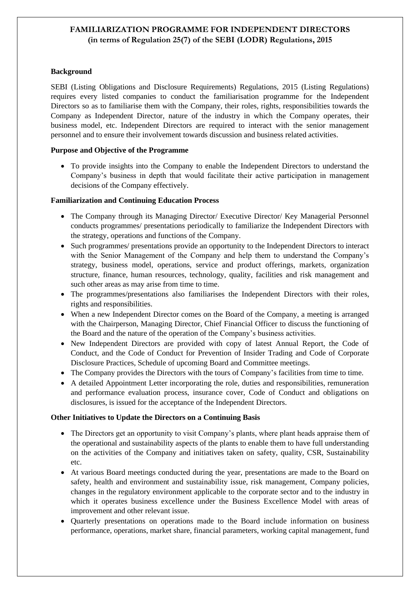# **FAMILIARIZATION PROGRAMME FOR INDEPENDENT DIRECTORS (in terms of Regulation 25(7) of the SEBI (LODR) Regulations, 2015**

#### **Background**

SEBI (Listing Obligations and Disclosure Requirements) Regulations, 2015 (Listing Regulations) requires every listed companies to conduct the familiarisation programme for the Independent Directors so as to familiarise them with the Company, their roles, rights, responsibilities towards the Company as Independent Director, nature of the industry in which the Company operates, their business model, etc. Independent Directors are required to interact with the senior management personnel and to ensure their involvement towards discussion and business related activities.

#### **Purpose and Objective of the Programme**

• To provide insights into the Company to enable the Independent Directors to understand the Company's business in depth that would facilitate their active participation in management decisions of the Company effectively.

#### **Familiarization and Continuing Education Process**

- The Company through its Managing Director/ Executive Director/ Key Managerial Personnel conducts programmes/ presentations periodically to familiarize the Independent Directors with the strategy, operations and functions of the Company.
- Such programmes/ presentations provide an opportunity to the Independent Directors to interact with the Senior Management of the Company and help them to understand the Company's strategy, business model, operations, service and product offerings, markets, organization structure, finance, human resources, technology, quality, facilities and risk management and such other areas as may arise from time to time.
- The programmes/presentations also familiarises the Independent Directors with their roles, rights and responsibilities.
- When a new Independent Director comes on the Board of the Company, a meeting is arranged with the Chairperson, Managing Director, Chief Financial Officer to discuss the functioning of the Board and the nature of the operation of the Company's business activities.
- New Independent Directors are provided with copy of latest Annual Report, the Code of Conduct, and the Code of Conduct for Prevention of Insider Trading and Code of Corporate Disclosure Practices, Schedule of upcoming Board and Committee meetings.
- The Company provides the Directors with the tours of Company's facilities from time to time.
- A detailed Appointment Letter incorporating the role, duties and responsibilities, remuneration and performance evaluation process, insurance cover, Code of Conduct and obligations on disclosures, is issued for the acceptance of the Independent Directors.

### **Other Initiatives to Update the Directors on a Continuing Basis**

- The Directors get an opportunity to visit Company's plants, where plant heads appraise them of the operational and sustainability aspects of the plants to enable them to have full understanding on the activities of the Company and initiatives taken on safety, quality, CSR, Sustainability etc.
- At various Board meetings conducted during the year, presentations are made to the Board on safety, health and environment and sustainability issue, risk management, Company policies, changes in the regulatory environment applicable to the corporate sector and to the industry in which it operates business excellence under the Business Excellence Model with areas of improvement and other relevant issue.
- Quarterly presentations on operations made to the Board include information on business performance, operations, market share, financial parameters, working capital management, fund